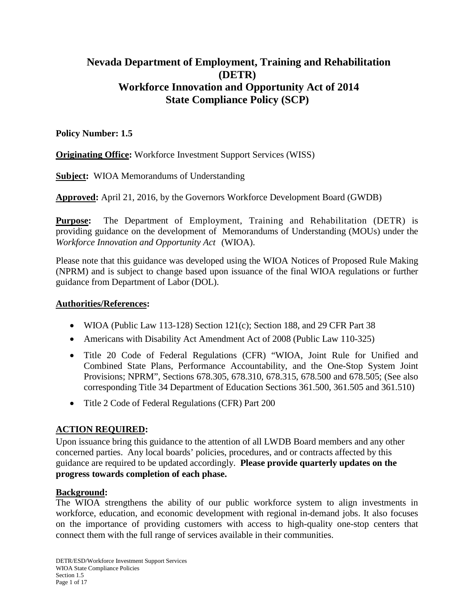# **Nevada Department of Employment, Training and Rehabilitation (DETR) Workforce Innovation and Opportunity Act of 2014 State Compliance Policy (SCP)**

### **Policy Number: 1.5**

**Originating Office:** Workforce Investment Support Services (WISS)

**Subject:** WIOA Memorandums of Understanding

**Approved:** April 21, 2016, by the Governors Workforce Development Board (GWDB)

**Purpose:** The Department of Employment, Training and Rehabilitation (DETR) is providing guidance on the development of Memorandums of Understanding (MOUs) under the *Workforce Innovation and Opportunity Act* (WIOA).

Please note that this guidance was developed using the WIOA Notices of Proposed Rule Making (NPRM) and is subject to change based upon issuance of the final WIOA regulations or further guidance from Department of Labor (DOL).

### **Authorities/References:**

- WIOA (Public Law 113-128) Section 121(c); Section 188, and 29 CFR Part 38
- Americans with Disability Act Amendment Act of 2008 (Public Law 110-325)
- Title 20 Code of Federal Regulations (CFR) "WIOA, Joint Rule for Unified and Combined State Plans, Performance Accountability, and the One-Stop System Joint Provisions; NPRM", Sections 678.305, 678.310, 678.315, 678.500 and 678.505; (See also corresponding Title 34 Department of Education Sections 361.500, 361.505 and 361.510)
- Title 2 Code of Federal Regulations (CFR) Part 200

# **ACTION REQUIRED:**

Upon issuance bring this guidance to the attention of all LWDB Board members and any other concerned parties. Any local boards' policies, procedures, and or contracts affected by this guidance are required to be updated accordingly. **Please provide quarterly updates on the progress towards completion of each phase.**

### **Background:**

The WIOA strengthens the ability of our public workforce system to align investments in workforce, education, and economic development with regional in-demand jobs. It also focuses on the importance of providing customers with access to high-quality one-stop centers that connect them with the full range of services available in their communities.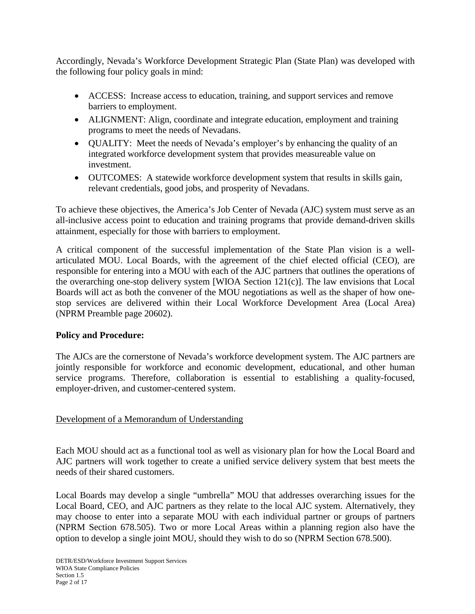Accordingly, Nevada's Workforce Development Strategic Plan (State Plan) was developed with the following four policy goals in mind:

- ACCESS: Increase access to education, training, and support services and remove barriers to employment.
- ALIGNMENT: Align, coordinate and integrate education, employment and training programs to meet the needs of Nevadans.
- QUALITY: Meet the needs of Nevada's employer's by enhancing the quality of an integrated workforce development system that provides measureable value on investment.
- OUTCOMES: A statewide workforce development system that results in skills gain, relevant credentials, good jobs, and prosperity of Nevadans.

To achieve these objectives, the America's Job Center of Nevada (AJC) system must serve as an all-inclusive access point to education and training programs that provide demand-driven skills attainment, especially for those with barriers to employment.

A critical component of the successful implementation of the State Plan vision is a wellarticulated MOU. Local Boards, with the agreement of the chief elected official (CEO), are responsible for entering into a MOU with each of the AJC partners that outlines the operations of the overarching one-stop delivery system [WIOA Section 121(c)]. The law envisions that Local Boards will act as both the convener of the MOU negotiations as well as the shaper of how onestop services are delivered within their Local Workforce Development Area (Local Area) (NPRM Preamble page 20602).

# **Policy and Procedure:**

The AJCs are the cornerstone of Nevada's workforce development system. The AJC partners are jointly responsible for workforce and economic development, educational, and other human service programs. Therefore, collaboration is essential to establishing a quality-focused, employer-driven, and customer-centered system.

# Development of a Memorandum of Understanding

Each MOU should act as a functional tool as well as visionary plan for how the Local Board and AJC partners will work together to create a unified service delivery system that best meets the needs of their shared customers.

Local Boards may develop a single "umbrella" MOU that addresses overarching issues for the Local Board, CEO, and AJC partners as they relate to the local AJC system. Alternatively, they may choose to enter into a separate MOU with each individual partner or groups of partners (NPRM Section 678.505). Two or more Local Areas within a planning region also have the option to develop a single joint MOU, should they wish to do so (NPRM Section 678.500).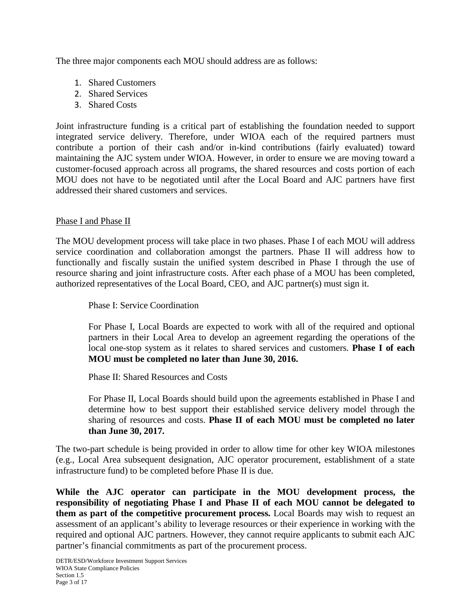The three major components each MOU should address are as follows:

- 1. Shared Customers
- 2. Shared Services
- 3. Shared Costs

Joint infrastructure funding is a critical part of establishing the foundation needed to support integrated service delivery. Therefore, under WIOA each of the required partners must contribute a portion of their cash and/or in-kind contributions (fairly evaluated) toward maintaining the AJC system under WIOA. However, in order to ensure we are moving toward a customer-focused approach across all programs, the shared resources and costs portion of each MOU does not have to be negotiated until after the Local Board and AJC partners have first addressed their shared customers and services.

### Phase I and Phase II

The MOU development process will take place in two phases. Phase I of each MOU will address service coordination and collaboration amongst the partners. Phase II will address how to functionally and fiscally sustain the unified system described in Phase I through the use of resource sharing and joint infrastructure costs. After each phase of a MOU has been completed, authorized representatives of the Local Board, CEO, and AJC partner(s) must sign it.

Phase I: Service Coordination

For Phase I, Local Boards are expected to work with all of the required and optional partners in their Local Area to develop an agreement regarding the operations of the local one-stop system as it relates to shared services and customers. **Phase I of each MOU must be completed no later than June 30, 2016.**

Phase II: Shared Resources and Costs

For Phase II, Local Boards should build upon the agreements established in Phase I and determine how to best support their established service delivery model through the sharing of resources and costs. **Phase II of each MOU must be completed no later than June 30, 2017.**

The two-part schedule is being provided in order to allow time for other key WIOA milestones (e.g., Local Area subsequent designation, AJC operator procurement, establishment of a state infrastructure fund) to be completed before Phase II is due.

**While the AJC operator can participate in the MOU development process, the responsibility of negotiating Phase I and Phase II of each MOU cannot be delegated to them as part of the competitive procurement process.** Local Boards may wish to request an assessment of an applicant's ability to leverage resources or their experience in working with the required and optional AJC partners. However, they cannot require applicants to submit each AJC partner's financial commitments as part of the procurement process.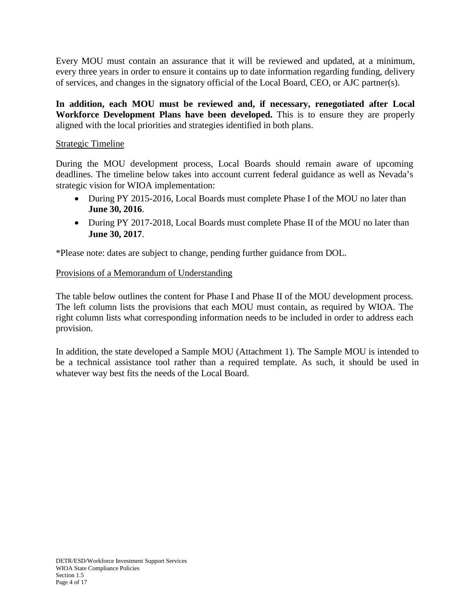Every MOU must contain an assurance that it will be reviewed and updated, at a minimum, every three years in order to ensure it contains up to date information regarding funding, delivery of services, and changes in the signatory official of the Local Board, CEO, or AJC partner(s).

**In addition, each MOU must be reviewed and, if necessary, renegotiated after Local Workforce Development Plans have been developed.** This is to ensure they are properly aligned with the local priorities and strategies identified in both plans.

### Strategic Timeline

During the MOU development process, Local Boards should remain aware of upcoming deadlines. The timeline below takes into account current federal guidance as well as Nevada's strategic vision for WIOA implementation:

- During PY 2015-2016, Local Boards must complete Phase I of the MOU no later than **June 30, 2016**.
- During PY 2017-2018, Local Boards must complete Phase II of the MOU no later than **June 30, 2017**.

\*Please note: dates are subject to change, pending further guidance from DOL.

## Provisions of a Memorandum of Understanding

The table below outlines the content for Phase I and Phase II of the MOU development process. The left column lists the provisions that each MOU must contain, as required by WIOA. The right column lists what corresponding information needs to be included in order to address each provision.

In addition, the state developed a Sample MOU (Attachment 1). The Sample MOU is intended to be a technical assistance tool rather than a required template. As such, it should be used in whatever way best fits the needs of the Local Board.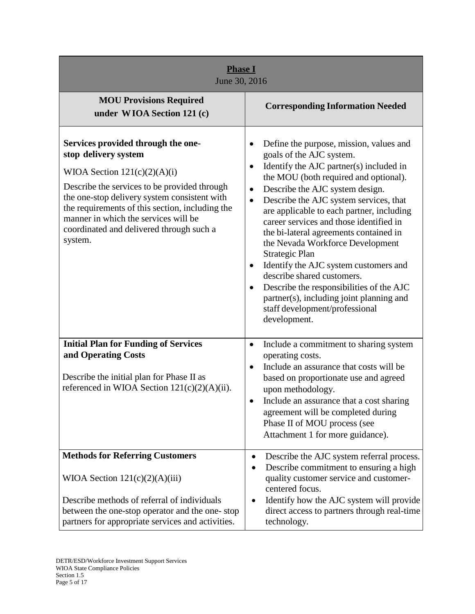| <b>Phase I</b><br>June 30, 2016                                                                                                                                                                                                                                                                                                                |                                                                                                                                                                                                                                                                                                                                                                                                                                                                                                                                                                                                                                                                                                        |
|------------------------------------------------------------------------------------------------------------------------------------------------------------------------------------------------------------------------------------------------------------------------------------------------------------------------------------------------|--------------------------------------------------------------------------------------------------------------------------------------------------------------------------------------------------------------------------------------------------------------------------------------------------------------------------------------------------------------------------------------------------------------------------------------------------------------------------------------------------------------------------------------------------------------------------------------------------------------------------------------------------------------------------------------------------------|
| <b>MOU Provisions Required</b><br>under WIOA Section 121 (c)                                                                                                                                                                                                                                                                                   | <b>Corresponding Information Needed</b>                                                                                                                                                                                                                                                                                                                                                                                                                                                                                                                                                                                                                                                                |
| Services provided through the one-<br>stop delivery system<br>WIOA Section $121(c)(2)(A)(i)$<br>Describe the services to be provided through<br>the one-stop delivery system consistent with<br>the requirements of this section, including the<br>manner in which the services will be<br>coordinated and delivered through such a<br>system. | Define the purpose, mission, values and<br>٠<br>goals of the AJC system.<br>Identify the AJC partner(s) included in<br>$\bullet$<br>the MOU (both required and optional).<br>Describe the AJC system design.<br>$\bullet$<br>Describe the AJC system services, that<br>$\bullet$<br>are applicable to each partner, including<br>career services and those identified in<br>the bi-lateral agreements contained in<br>the Nevada Workforce Development<br>Strategic Plan<br>Identify the AJC system customers and<br>describe shared customers.<br>Describe the responsibilities of the AJC<br>$\bullet$<br>partner(s), including joint planning and<br>staff development/professional<br>development. |
| <b>Initial Plan for Funding of Services</b><br>and Operating Costs<br>Describe the initial plan for Phase II as<br>referenced in WIOA Section $121(c)(2)(A)(ii)$ .                                                                                                                                                                             | Include a commitment to sharing system<br>$\bullet$<br>operating costs.<br>Include an assurance that costs will be<br>$\bullet$<br>based on proportionate use and agreed<br>upon methodology.<br>Include an assurance that a cost sharing<br>agreement will be completed during<br>Phase II of MOU process (see<br>Attachment 1 for more guidance).                                                                                                                                                                                                                                                                                                                                                    |
| <b>Methods for Referring Customers</b><br>WIOA Section $121(c)(2)(A)(iii)$<br>Describe methods of referral of individuals<br>between the one-stop operator and the one-stop<br>partners for appropriate services and activities.                                                                                                               | Describe the AJC system referral process.<br>٠<br>Describe commitment to ensuring a high<br>quality customer service and customer-<br>centered focus.<br>Identify how the AJC system will provide<br>$\bullet$<br>direct access to partners through real-time<br>technology.                                                                                                                                                                                                                                                                                                                                                                                                                           |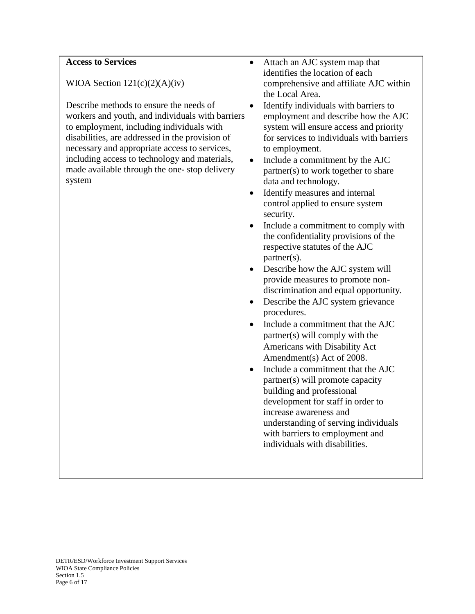| <b>Access to Services</b>                        | Attach an AJC system map that<br>٠                 |
|--------------------------------------------------|----------------------------------------------------|
|                                                  | identifies the location of each                    |
| WIOA Section $121(c)(2)(A)(iv)$                  | comprehensive and affiliate AJC within             |
|                                                  | the Local Area.                                    |
| Describe methods to ensure the needs of          | Identify individuals with barriers to<br>$\bullet$ |
| workers and youth, and individuals with barriers | employment and describe how the AJC                |
| to employment, including individuals with        | system will ensure access and priority             |
| disabilities, are addressed in the provision of  | for services to individuals with barriers          |
| necessary and appropriate access to services,    | to employment.                                     |
| including access to technology and materials,    | Include a commitment by the AJC<br>$\bullet$       |
| made available through the one-stop delivery     | partner(s) to work together to share               |
| system                                           | data and technology.                               |
|                                                  | Identify measures and internal<br>$\bullet$        |
|                                                  | control applied to ensure system                   |
|                                                  | security.                                          |
|                                                  | Include a commitment to comply with<br>$\bullet$   |
|                                                  | the confidentiality provisions of the              |
|                                                  | respective statutes of the AJC                     |
|                                                  | $partner(s)$ .                                     |
|                                                  | Describe how the AJC system will<br>٠              |
|                                                  | provide measures to promote non-                   |
|                                                  | discrimination and equal opportunity.              |
|                                                  | Describe the AJC system grievance<br>$\bullet$     |
|                                                  | procedures.                                        |
|                                                  | Include a commitment that the AJC<br>$\bullet$     |
|                                                  | partner(s) will comply with the                    |
|                                                  | Americans with Disability Act                      |
|                                                  | Amendment(s) Act of 2008.                          |
|                                                  | Include a commitment that the AJC<br>$\bullet$     |
|                                                  | partner(s) will promote capacity                   |
|                                                  | building and professional                          |
|                                                  | development for staff in order to                  |
|                                                  | increase awareness and                             |
|                                                  | understanding of serving individuals               |
|                                                  | with barriers to employment and                    |
|                                                  | individuals with disabilities.                     |
|                                                  |                                                    |
|                                                  |                                                    |
|                                                  |                                                    |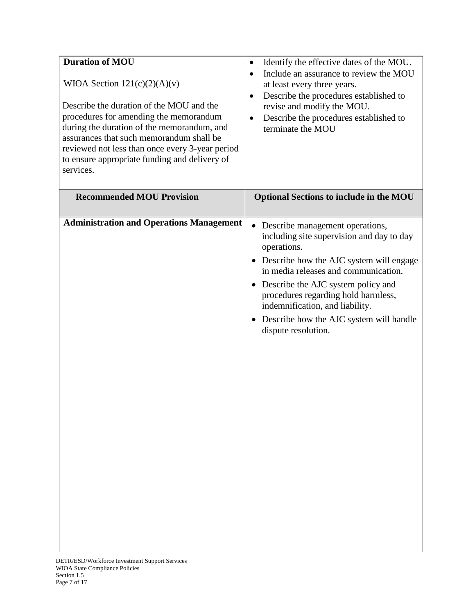| <b>Duration of MOU</b><br>WIOA Section $121(c)(2)(A)(v)$<br>Describe the duration of the MOU and the<br>procedures for amending the memorandum<br>during the duration of the memorandum, and<br>assurances that such memorandum shall be<br>reviewed not less than once every 3-year period<br>to ensure appropriate funding and delivery of<br>services. | Identify the effective dates of the MOU.<br>٠<br>Include an assurance to review the MOU<br>$\bullet$<br>at least every three years.<br>Describe the procedures established to<br>$\bullet$<br>revise and modify the MOU.<br>Describe the procedures established to<br>$\bullet$<br>terminate the MOU                                                                   |
|-----------------------------------------------------------------------------------------------------------------------------------------------------------------------------------------------------------------------------------------------------------------------------------------------------------------------------------------------------------|------------------------------------------------------------------------------------------------------------------------------------------------------------------------------------------------------------------------------------------------------------------------------------------------------------------------------------------------------------------------|
| <b>Recommended MOU Provision</b>                                                                                                                                                                                                                                                                                                                          | <b>Optional Sections to include in the MOU</b>                                                                                                                                                                                                                                                                                                                         |
| <b>Administration and Operations Management</b>                                                                                                                                                                                                                                                                                                           | • Describe management operations,<br>including site supervision and day to day<br>operations.<br>• Describe how the AJC system will engage<br>in media releases and communication.<br>• Describe the AJC system policy and<br>procedures regarding hold harmless,<br>indemnification, and liability.<br>Describe how the AJC system will handle<br>dispute resolution. |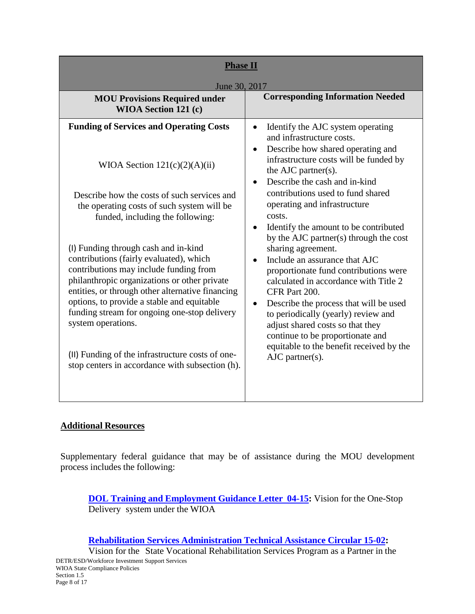| <b>Phase II</b><br>June 30, 2017                                                                                                                                                                                                                                                                                                                                                                                                                                                                                                                                                                                                                                               |                                                                                                                                                                                                                                                                                                                                                                                                                                                                                                                                                                                                                                                                                                                                                                                                                                  |  |
|--------------------------------------------------------------------------------------------------------------------------------------------------------------------------------------------------------------------------------------------------------------------------------------------------------------------------------------------------------------------------------------------------------------------------------------------------------------------------------------------------------------------------------------------------------------------------------------------------------------------------------------------------------------------------------|----------------------------------------------------------------------------------------------------------------------------------------------------------------------------------------------------------------------------------------------------------------------------------------------------------------------------------------------------------------------------------------------------------------------------------------------------------------------------------------------------------------------------------------------------------------------------------------------------------------------------------------------------------------------------------------------------------------------------------------------------------------------------------------------------------------------------------|--|
| <b>MOU Provisions Required under</b><br><b>WIOA Section 121 (c)</b>                                                                                                                                                                                                                                                                                                                                                                                                                                                                                                                                                                                                            | <b>Corresponding Information Needed</b>                                                                                                                                                                                                                                                                                                                                                                                                                                                                                                                                                                                                                                                                                                                                                                                          |  |
| <b>Funding of Services and Operating Costs</b><br>WIOA Section $121(c)(2)(A)(ii)$<br>Describe how the costs of such services and<br>the operating costs of such system will be<br>funded, including the following:<br>(I) Funding through cash and in-kind<br>contributions (fairly evaluated), which<br>contributions may include funding from<br>philanthropic organizations or other private<br>entities, or through other alternative financing<br>options, to provide a stable and equitable<br>funding stream for ongoing one-stop delivery<br>system operations.<br>(II) Funding of the infrastructure costs of one-<br>stop centers in accordance with subsection (h). | Identify the AJC system operating<br>$\bullet$<br>and infrastructure costs.<br>Describe how shared operating and<br>$\bullet$<br>infrastructure costs will be funded by<br>the AJC partner(s).<br>Describe the cash and in-kind<br>$\bullet$<br>contributions used to fund shared<br>operating and infrastructure<br>costs.<br>Identify the amount to be contributed<br>$\bullet$<br>by the AJC partner(s) through the cost<br>sharing agreement.<br>Include an assurance that AJC<br>proportionate fund contributions were<br>calculated in accordance with Title 2<br>CFR Part 200.<br>Describe the process that will be used<br>$\bullet$<br>to periodically (yearly) review and<br>adjust shared costs so that they<br>continue to be proportionate and<br>equitable to the benefit received by the<br>$AJC$ partner $(s)$ . |  |
|                                                                                                                                                                                                                                                                                                                                                                                                                                                                                                                                                                                                                                                                                |                                                                                                                                                                                                                                                                                                                                                                                                                                                                                                                                                                                                                                                                                                                                                                                                                                  |  |

# **Additional Resources**

Supplementary federal guidance that may be of assistance during the MOU development process includes the following:

**DOL Training and [Employment](http://wdr.doleta.gov/directives/corr_doc.cfm?DOCN=6455) Guidance Letter 04-15:** Vision for the One-Stop Delivery system under the WIOA

#### **Rehabilitation Services [Administration](http://www2.ed.gov/policy/speced/guid/rsa/tac/2015/tac-15-02.pdf) Technical Assistance Circular 15-02:**

Vision for the State Vocational Rehabilitation Services Program as a Partner in the DETR/ESD/Workforce Investment Support Services WIOA State Compliance Policies Section 1.5 Page 8 of 17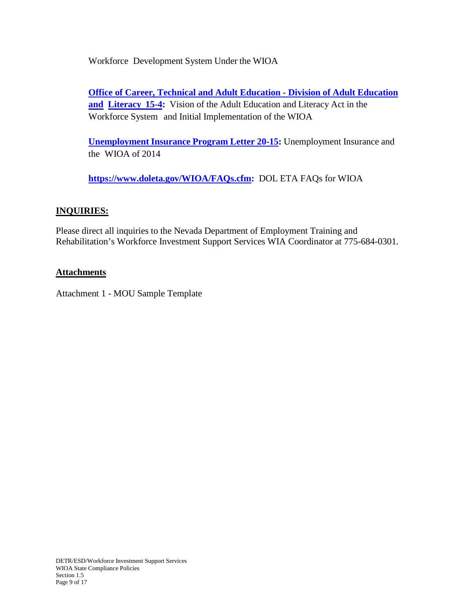Workforce Development System Under the WIOA

**Office of [Career, Technical and](http://www2.ed.gov/about/offices/list/ovae/octae-aefla-vision.pdf) Adult Education - Division of Adult Education [and](http://www2.ed.gov/about/offices/list/ovae/octae-aefla-vision.pdf) [Literacy](http://www2.ed.gov/about/offices/list/ovae/octae-aefla-vision.pdf) 15-4:** Vision of the Adult Education and Literacy Act in the Workforce System and Initial Implementation of the WIOA

**[Unemployment](http://wdr.doleta.gov/directives/attach/UIPL/UIPL_20-15_Acc.pdf) Insurance Program Letter 20-15:** Unemployment Insurance and the WIOA of 2014

**[https://www.doleta.gov/WIOA/FAQs.cfm:](https://www.doleta.gov/WIOA/FAQs.cfm)** DOL ETA FAQs for WIOA

## **INQUIRIES:**

Please direct all inquiries to the Nevada Department of Employment Training and Rehabilitation's Workforce Investment Support Services WIA Coordinator at 775-684-0301.

## **Attachments**

Attachment 1 - MOU Sample Template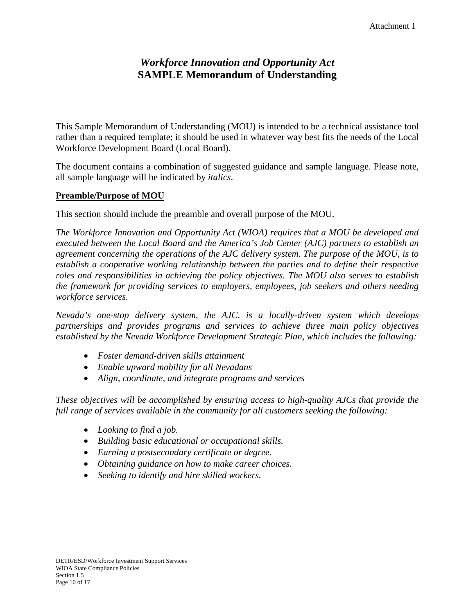# *Workforce Innovation and Opportunity Act* **SAMPLE Memorandum of Understanding**

This Sample Memorandum of Understanding (MOU) is intended to be a technical assistance tool rather than a required template; it should be used in whatever way best fits the needs of the Local Workforce Development Board (Local Board).

The document contains a combination of suggested guidance and sample language. Please note, all sample language will be indicated by *italics*.

#### **Preamble/Purpose of MOU**

This section should include the preamble and overall purpose of the MOU.

*The Workforce Innovation and Opportunity Act (WIOA) requires that a MOU be developed and executed between the Local Board and the America's Job Center (AJC) partners to establish an agreement concerning the operations of the AJC delivery system. The purpose of the MOU, is to establish a cooperative working relationship between the parties and to define their respective roles and responsibilities in achieving the policy objectives. The MOU also serves to establish the framework for providing services to employers, employees, job seekers and others needing workforce services.*

*Nevada's one-stop delivery system, the AJC, is a locally-driven system which develops partnerships and provides programs and services to achieve three main policy objectives established by the Nevada Workforce Development Strategic Plan, which includes the following:*

- *Foster demand-driven skills attainment*
- *Enable upward mobility for all Nevadans*
- *Align, coordinate, and integrate programs and services*

*These objectives will be accomplished by ensuring access to high-quality AJCs that provide the full range of services available in the community for all customers seeking the following:*

- *Looking to find a job.*
- *Building basic educational or occupational skills.*
- *Earning a postsecondary certificate or degree.*
- *Obtaining guidance on how to make career choices.*
- *Seeking to identify and hire skilled workers.*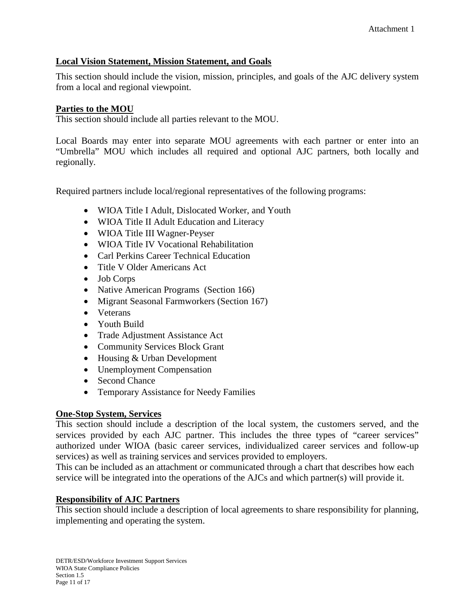### **Local Vision Statement, Mission Statement, and Goals**

This section should include the vision, mission, principles, and goals of the AJC delivery system from a local and regional viewpoint.

#### **Parties to the MOU**

This section should include all parties relevant to the MOU.

Local Boards may enter into separate MOU agreements with each partner or enter into an "Umbrella" MOU which includes all required and optional AJC partners, both locally and regionally.

Required partners include local/regional representatives of the following programs:

- WIOA Title I Adult, Dislocated Worker, and Youth
- WIOA Title II Adult Education and Literacy
- WIOA Title III Wagner-Peyser
- WIOA Title IV Vocational Rehabilitation
- Carl Perkins Career Technical Education
- Title V Older Americans Act
- Job Corps
- Native American Programs (Section 166)
- Migrant Seasonal Farmworkers (Section 167)
- Veterans
- Youth Build
- Trade Adjustment Assistance Act
- Community Services Block Grant
- Housing & Urban Development
- Unemployment Compensation
- Second Chance
- Temporary Assistance for Needy Families

#### **One-Stop System, Services**

This section should include a description of the local system, the customers served, and the services provided by each AJC partner. This includes the three types of "career services" authorized under WIOA (basic career services, individualized career services and follow-up services) as well as training services and services provided to employers.

This can be included as an attachment or communicated through a chart that describes how each service will be integrated into the operations of the AJCs and which partner(s) will provide it.

#### **Responsibility of AJC Partners**

This section should include a description of local agreements to share responsibility for planning, implementing and operating the system.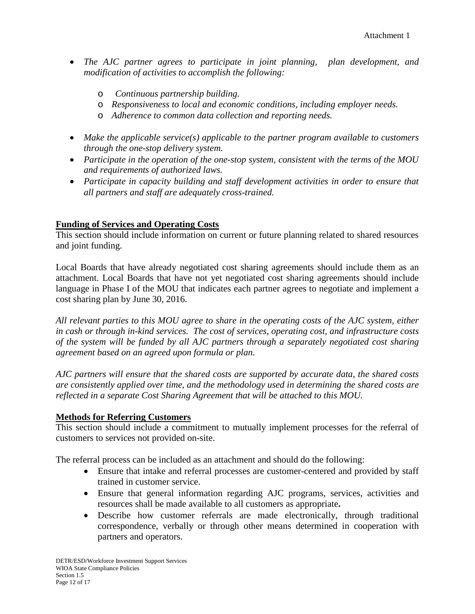- *The AJC partner agrees to participate in joint planning, plan development, and modification of activities to accomplish the following:*
	- o *Continuous partnership building.*
	- o *Responsiveness to local and economic conditions, including employer needs.*
	- o *Adherence to common data collection and reporting needs.*
- *Make the applicable service(s) applicable to the partner program available to customers through the one-stop delivery system.*
- *Participate in the operation of the one-stop system, consistent with the terms of the MOU and requirements of authorized laws.*
- *Participate in capacity building and staff development activities in order to ensure that all partners and staff are adequately cross-trained.*

## **Funding of Services and Operating Costs**

This section should include information on current or future planning related to shared resources and joint funding.

Local Boards that have already negotiated cost sharing agreements should include them as an attachment. Local Boards that have not yet negotiated cost sharing agreements should include language in Phase I of the MOU that indicates each partner agrees to negotiate and implement a cost sharing plan by June 30, 2016.

*All relevant parties to this MOU agree to share in the operating costs of the AJC system, either in cash or through in-kind services. The cost of services, operating cost, and infrastructure costs of the system will be funded by all AJC partners through a separately negotiated cost sharing agreement based on an agreed upon formula or plan.*

*AJC partners will ensure that the shared costs are supported by accurate data, the shared costs are consistently applied over time, and the methodology used in determining the shared costs are reflected in a separate Cost Sharing Agreement that will be attached to this MOU.*

### **Methods for Referring Customers**

This section should include a commitment to mutually implement processes for the referral of customers to services not provided on-site.

The referral process can be included as an attachment and should do the following:

- Ensure that intake and referral processes are customer-centered and provided by staff trained in customer service.
- Ensure that general information regarding AJC programs, services, activities and resources shall be made available to all customers as appropriate**.**
- Describe how customer referrals are made electronically, through traditional correspondence, verbally or through other means determined in cooperation with partners and operators.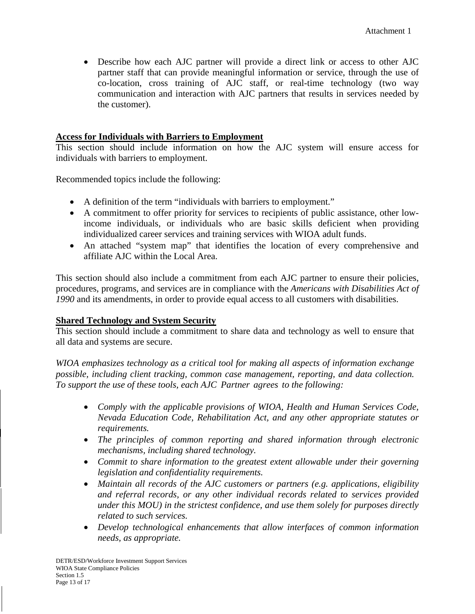• Describe how each AJC partner will provide a direct link or access to other AJC partner staff that can provide meaningful information or service, through the use of co-location, cross training of AJC staff, or real-time technology (two way communication and interaction with AJC partners that results in services needed by the customer).

#### **Access for Individuals with Barriers to Employment**

This section should include information on how the AJC system will ensure access for individuals with barriers to employment.

Recommended topics include the following:

- A definition of the term "individuals with barriers to employment."
- A commitment to offer priority for services to recipients of public assistance, other lowincome individuals, or individuals who are basic skills deficient when providing individualized career services and training services with WIOA adult funds.
- An attached "system map" that identifies the location of every comprehensive and affiliate AJC within the Local Area.

This section should also include a commitment from each AJC partner to ensure their policies, procedures, programs, and services are in compliance with the *Americans with Disabilities Act of 1990* and its amendments, in order to provide equal access to all customers with disabilities.

#### **Shared Technology and System Security**

This section should include a commitment to share data and technology as well to ensure that all data and systems are secure.

*WIOA emphasizes technology as a critical tool for making all aspects of information exchange possible, including client tracking, common case management, reporting, and data collection. To support the use of these tools, each AJC Partner agrees to the following:*

- *Comply with the applicable provisions of WIOA, Health and Human Services Code, Nevada Education Code, Rehabilitation Act, and any other appropriate statutes or requirements.*
- *The principles of common reporting and shared information through electronic mechanisms, including shared technology.*
- *Commit to share information to the greatest extent allowable under their governing legislation and confidentiality requirements.*
- *Maintain all records of the AJC customers or partners (e.g. applications, eligibility and referral records, or any other individual records related to services provided under this MOU) in the strictest confidence, and use them solely for purposes directly related to such services.*
- *Develop technological enhancements that allow interfaces of common information needs, as appropriate.*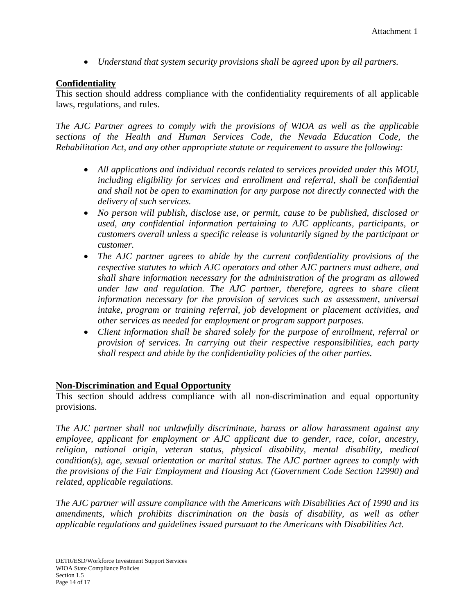• *Understand that system security provisions shall be agreed upon by all partners.* 

#### **Confidentiality**

This section should address compliance with the confidentiality requirements of all applicable laws, regulations, and rules.

*The AJC Partner agrees to comply with the provisions of WIOA as well as the applicable sections of the Health and Human Services Code, the Nevada Education Code, the Rehabilitation Act, and any other appropriate statute or requirement to assure the following:*

- *All applications and individual records related to services provided under this MOU,*  including eligibility for services and enrollment and referral, shall be confidential *and shall not be open to examination for any purpose not directly connected with the delivery of such services.*
- *No person will publish, disclose use, or permit, cause to be published, disclosed or used, any confidential information pertaining to AJC applicants, participants, or customers overall unless a specific release is voluntarily signed by the participant or customer.*
- *The AJC partner agrees to abide by the current confidentiality provisions of the respective statutes to which AJC operators and other AJC partners must adhere, and shall share information necessary for the administration of the program as allowed under law and regulation. The AJC partner, therefore, agrees to share client information necessary for the provision of services such as assessment, universal intake, program or training referral, job development or placement activities, and other services as needed for employment or program support purposes.*
- *Client information shall be shared solely for the purpose of enrollment, referral or provision of services. In carrying out their respective responsibilities, each party shall respect and abide by the confidentiality policies of the other parties.*

#### **Non-Discrimination and Equal Opportunity**

This section should address compliance with all non-discrimination and equal opportunity provisions.

*The AJC partner shall not unlawfully discriminate, harass or allow harassment against any employee, applicant for employment or AJC applicant due to gender, race, color, ancestry, religion, national origin, veteran status, physical disability, mental disability, medical condition(s), age, sexual orientation or marital status. The AJC partner agrees to comply with the provisions of the Fair Employment and Housing Act (Government Code Section 12990) and related, applicable regulations.* 

*The AJC partner will assure compliance with the Americans with Disabilities Act of 1990 and its amendments, which prohibits discrimination on the basis of disability, as well as other applicable regulations and guidelines issued pursuant to the Americans with Disabilities Act.*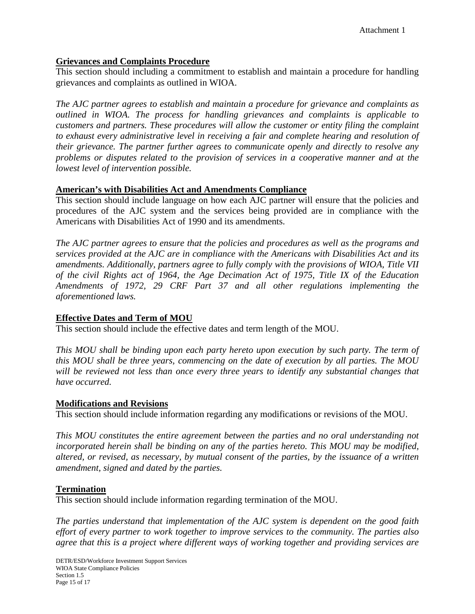### **Grievances and Complaints Procedure**

This section should including a commitment to establish and maintain a procedure for handling grievances and complaints as outlined in WIOA.

*The AJC partner agrees to establish and maintain a procedure for grievance and complaints as outlined in WIOA. The process for handling grievances and complaints is applicable to customers and partners. These procedures will allow the customer or entity filing the complaint to exhaust every administrative level in receiving a fair and complete hearing and resolution of their grievance. The partner further agrees to communicate openly and directly to resolve any problems or disputes related to the provision of services in a cooperative manner and at the lowest level of intervention possible.*

### **American's with Disabilities Act and Amendments Compliance**

This section should include language on how each AJC partner will ensure that the policies and procedures of the AJC system and the services being provided are in compliance with the Americans with Disabilities Act of 1990 and its amendments.

*The AJC partner agrees to ensure that the policies and procedures as well as the programs and services provided at the AJC are in compliance with the Americans with Disabilities Act and its amendments. Additionally, partners agree to fully comply with the provisions of WIOA, Title VII of the civil Rights act of 1964, the Age Decimation Act of 1975, Title IX of the Education Amendments of 1972, 29 CRF Part 37 and all other regulations implementing the aforementioned laws.*

# **Effective Dates and Term of MOU**

This section should include the effective dates and term length of the MOU.

*This MOU shall be binding upon each party hereto upon execution by such party. The term of this MOU shall be three years, commencing on the date of execution by all parties. The MOU will be reviewed not less than once every three years to identify any substantial changes that have occurred.*

### **Modifications and Revisions**

This section should include information regarding any modifications or revisions of the MOU.

*This MOU constitutes the entire agreement between the parties and no oral understanding not incorporated herein shall be binding on any of the parties hereto. This MOU may be modified, altered, or revised, as necessary, by mutual consent of the parties, by the issuance of a written amendment, signed and dated by the parties.*

#### **Termination**

This section should include information regarding termination of the MOU.

*The parties understand that implementation of the AJC system is dependent on the good faith effort of every partner to work together to improve services to the community. The parties also agree that this is a project where different ways of working together and providing services are*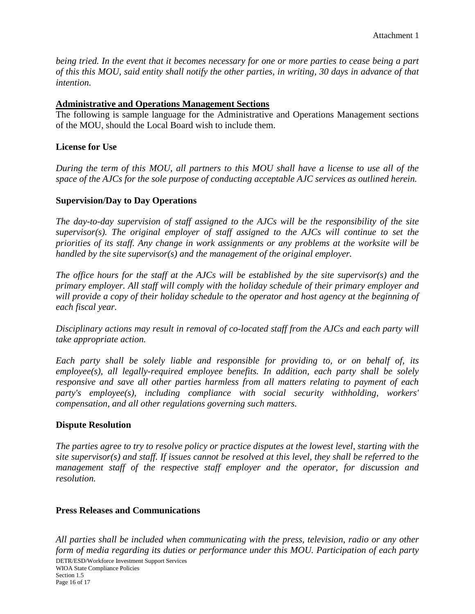*being tried. In the event that it becomes necessary for one or more parties to cease being a part of this this MOU, said entity shall notify the other parties, in writing, 30 days in advance of that intention.*

#### **Administrative and Operations Management Sections**

The following is sample language for the Administrative and Operations Management sections of the MOU, should the Local Board wish to include them.

#### **License for Use**

*During the term of this MOU, all partners to this MOU shall have a license to use all of the space of the AJCs for the sole purpose of conducting acceptable AJC services as outlined herein.* 

#### **Supervision/Day to Day Operations**

*The day-to-day supervision of staff assigned to the AJCs will be the responsibility of the site supervisor(s). The original employer of staff assigned to the AJCs will continue to set the priorities of its staff. Any change in work assignments or any problems at the worksite will be handled by the site supervisor(s) and the management of the original employer.*

*The office hours for the staff at the AJCs will be established by the site supervisor(s) and the primary employer. All staff will comply with the holiday schedule of their primary employer and will provide a copy of their holiday schedule to the operator and host agency at the beginning of each fiscal year.*

*Disciplinary actions may result in removal of co-located staff from the AJCs and each party will take appropriate action.*

*Each party shall be solely liable and responsible for providing to, or on behalf of, its employee(s), all legally-required employee benefits. In addition, each party shall be solely responsive and save all other parties harmless from all matters relating to payment of each party's employee(s), including compliance with social security withholding, workers' compensation, and all other regulations governing such matters.*

#### **Dispute Resolution**

*The parties agree to try to resolve policy or practice disputes at the lowest level, starting with the site supervisor(s) and staff. If issues cannot be resolved at this level, they shall be referred to the management staff of the respective staff employer and the operator, for discussion and resolution.*

#### **Press Releases and Communications**

*All parties shall be included when communicating with the press, television, radio or any other form of media regarding its duties or performance under this MOU. Participation of each party*  DETR/ESD/Workforce Investment Support Services WIOA State Compliance Policies Section 1.5 Page 16 of 17